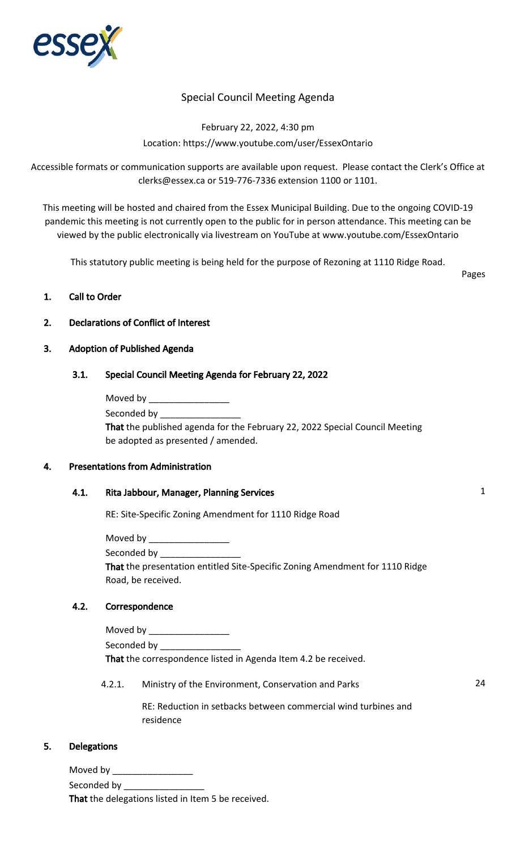

# Special Council Meeting Agenda

February 22, 2022, 4:30 pm Location: https://www.youtube.com/user/EssexOntario

Accessible formats or communication supports are available upon request. Please contact the Clerk's Office at clerks@essex.ca or 519-776-7336 extension 1100 or 1101.

This meeting will be hosted and chaired from the Essex Municipal Building. Due to the ongoing COVID-19 pandemic this meeting is not currently open to the public for in person attendance. This meeting can be viewed by the public electronically via livestream on YouTube at www.youtube.com/EssexOntario

This statutory public meeting is being held for the purpose of Rezoning at 1110 Ridge Road.

Pages

### 1. Call to Order

### 2. Declarations of Conflict of Interest

#### 3. Adoption of Published Agenda

### 3.1. Special Council Meeting Agenda for February 22, 2022

| Moved by                                                                    |
|-----------------------------------------------------------------------------|
| Seconded by                                                                 |
| That the published agenda for the February 22, 2022 Special Council Meeting |
| be adopted as presented / amended.                                          |

#### 4. Presentations from Administration

### 4.1. Rita Jabbour, Manager, Planning Services 1

RE: Site-Specific Zoning Amendment for 1110 Ridge Road

Moved by Seconded by \_ That the presentation entitled Site-Specific Zoning Amendment for 1110 Ridge Road, be received.

#### 4.2. Correspondence

| Moved by                                                       |
|----------------------------------------------------------------|
| Seconded by                                                    |
| That the correspondence listed in Agenda Item 4.2 be received. |

4.2.1. Ministry of the Environment, Conservation and Parks 24

RE: Reduction in setbacks between commercial wind turbines and residence

### 5. Delegations

Moved by  $\_\_$ 

Seconded by **Example 20** 

That the delegations listed in Item 5 be received.